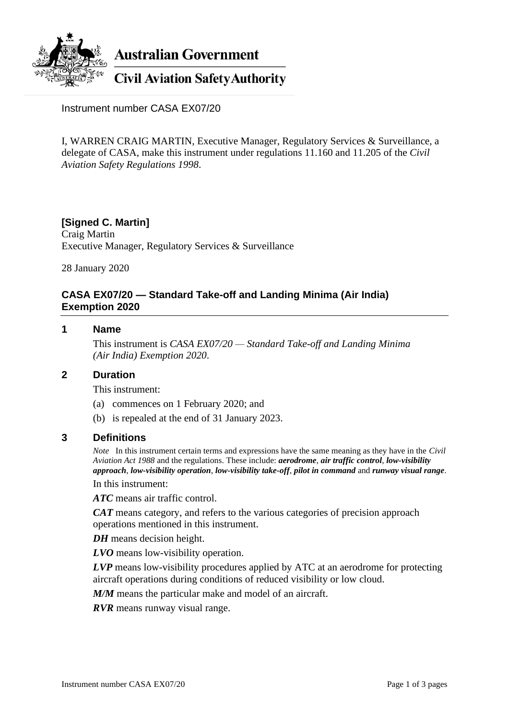

**Australian Government** 

**Civil Aviation Safety Authority** 

Instrument number CASA EX07/20

I, WARREN CRAIG MARTIN, Executive Manager, Regulatory Services & Surveillance, a delegate of CASA, make this instrument under regulations 11.160 and 11.205 of the *Civil Aviation Safety Regulations 1998*.

# **[Signed C. Martin]**

Craig Martin Executive Manager, Regulatory Services & Surveillance

28 January 2020

## **CASA EX07/20 — Standard Take-off and Landing Minima (Air India) Exemption 2020**

## **1 Name**

This instrument is *CASA EX07/20 — Standard Take-off and Landing Minima (Air India) Exemption 2020*.

## **2 Duration**

This instrument:

- (a) commences on 1 February 2020; and
- (b) is repealed at the end of 31 January 2023.

### **3 Definitions**

*Note* In this instrument certain terms and expressions have the same meaning as they have in the *Civil Aviation Act 1988* and the regulations. These include: *aerodrome*, *air traffic control*, *low-visibility approach*, *low-visibility operation*, *low-visibility take-off*, *pilot in command* and *runway visual range*.

In this instrument:

*ATC* means air traffic control.

*CAT* means category, and refers to the various categories of precision approach operations mentioned in this instrument.

*DH* means decision height.

*LVO* means low-visibility operation.

*LVP* means low-visibility procedures applied by ATC at an aerodrome for protecting aircraft operations during conditions of reduced visibility or low cloud.

*M/M* means the particular make and model of an aircraft.

*RVR* means runway visual range.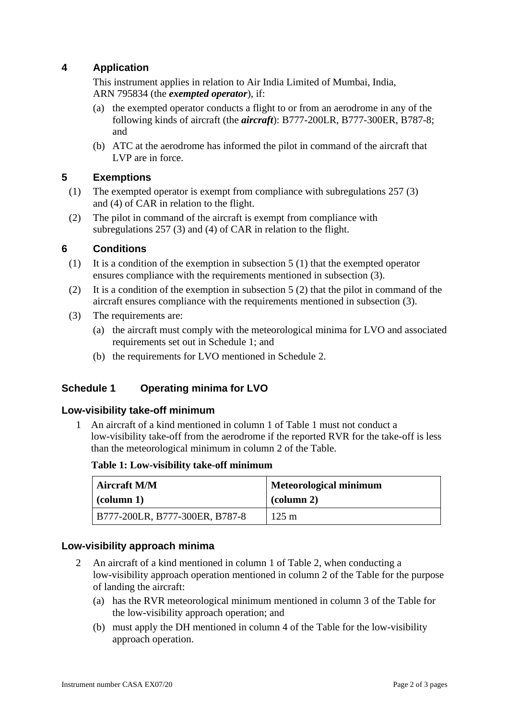# **4 Application**

This instrument applies in relation to Air India Limited of Mumbai, India, ARN 795834 (the *exempted operator*), if:

- (a) the exempted operator conducts a flight to or from an aerodrome in any of the following kinds of aircraft (the *aircraft*): B777-200LR, B777-300ER, B787-8; and
- (b) ATC at the aerodrome has informed the pilot in command of the aircraft that LVP are in force.

## **5 Exemptions**

- (1) The exempted operator is exempt from compliance with subregulations 257 (3) and (4) of CAR in relation to the flight.
- (2) The pilot in command of the aircraft is exempt from compliance with subregulations 257 (3) and (4) of CAR in relation to the flight.

### **6 Conditions**

- (1) It is a condition of the exemption in subsection 5 (1) that the exempted operator ensures compliance with the requirements mentioned in subsection (3).
- (2) It is a condition of the exemption in subsection  $5(2)$  that the pilot in command of the aircraft ensures compliance with the requirements mentioned in subsection (3).
- (3) The requirements are:
	- (a) the aircraft must comply with the meteorological minima for LVO and associated requirements set out in Schedule 1; and
	- (b) the requirements for LVO mentioned in Schedule 2.

## **Schedule 1 Operating minima for LVO**

### **Low-visibility take-off minimum**

1 An aircraft of a kind mentioned in column 1 of Table 1 must not conduct a low-visibility take-off from the aerodrome if the reported RVR for the take-off is less than the meteorological minimum in column 2 of the Table.

### **Table 1: Low-visibility take-off minimum**

| <b>Aircraft M/M</b>            | <b>Meteorological minimum</b> |  |
|--------------------------------|-------------------------------|--|
| $\vert$ (column 1)             | $\alpha$ (column 2)           |  |
| B777-200LR, B777-300ER, B787-8 | $125 \text{ m}$               |  |

### **Low-visibility approach minima**

- 2 An aircraft of a kind mentioned in column 1 of Table 2, when conducting a low-visibility approach operation mentioned in column 2 of the Table for the purpose of landing the aircraft:
	- (a) has the RVR meteorological minimum mentioned in column 3 of the Table for the low-visibility approach operation; and
	- (b) must apply the DH mentioned in column 4 of the Table for the low-visibility approach operation.